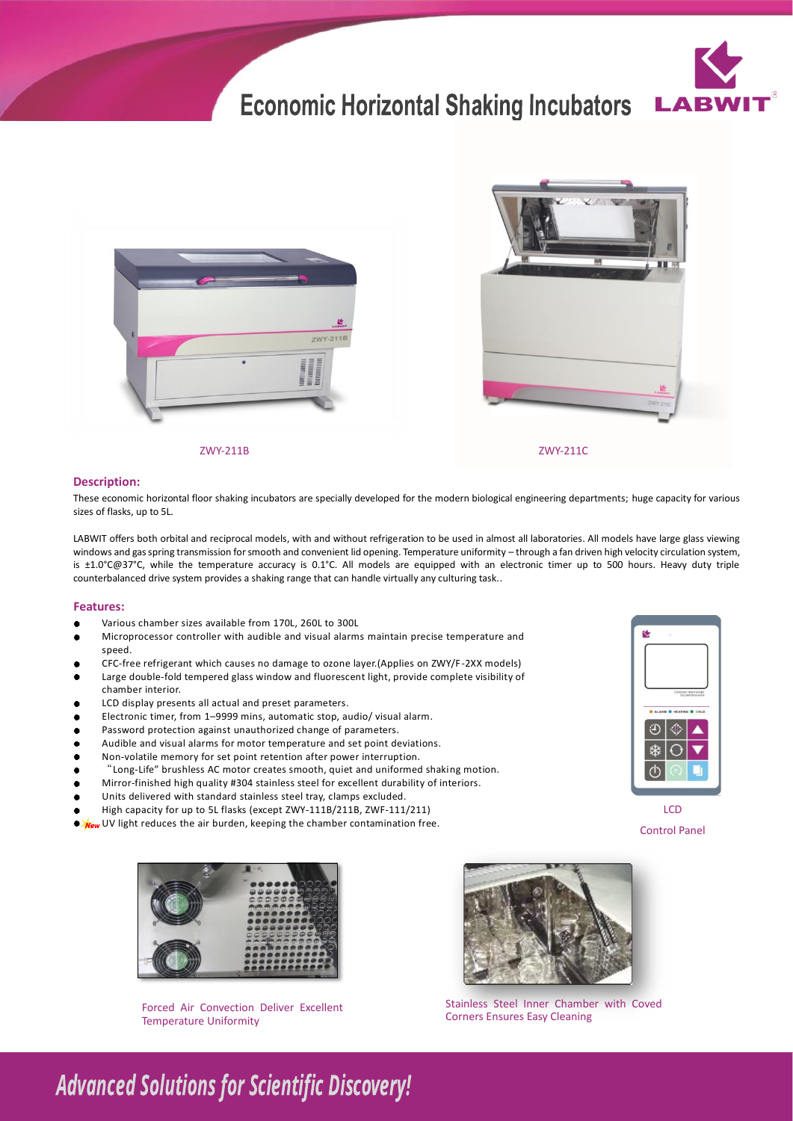# **Economic Horizontal Shaking Incubators**







ZWY-211B

ZWY-211C

### **Description:**

These economic horizontal floor shaking incubators are specially developed for the modern biological engineering departments; huge capacity for various sizes of flasks, up to 5L.

LABWIT offers both orbital and reciprocal models, with and without refrigeration to be used in almost all laboratories. All models have large glass viewing windows and gas spring transmission for smooth and convenient lid opening. Temperature uniformity - through a fan driven high velocity circulation system, is ±1.0°C@37°C, while the temperature accuracy is 0.1°C. All models are equipped with an electronic timer up to 500 hours. Heavy duty triple counterbalanced drive system provides a shaking range that can handle virtually any culturing task..

### **Features:**

- ó Various chamber sizes available from 170L, 260L to 300L
- Microprocessor controller with audible and visual alarms maintain precise temperature and speed.
- CFC-free refrigerant which causes no damage to ozone layer.(Applies on ZWY/F -2XX models)
- Large double-fold tempered glass window and fluorescent light, provide complete visibility of chamber interior.
- LCD display presents all actual and preset parameters. ó
- Electronic timer, from 1–9999 mins, automatic stop, audio/ visual alarm.
- Password protection against unauthorized change of parameters.  $\bullet$
- Audible and visual alarms for motor temperature and set point deviations.
- Non-volatile memory for set point retention after power interruption.  $\bullet$
- "Long-Life" brushless AC motor creates smooth, quiet and uniformed shaking motion.
- $\bullet$ Mirror-finished high quality #304 stainless steel for excellent durability of interiors.
- Units delivered with standard stainless steel tray, clamps excluded.  $\bullet$
- High capacity for up to 5L flasks (except ZWY-111B/211B, ZWF-111/211)
- **New** UV light reduces the air burden, keeping the chamber contamination free.



Forced Air Convection Deliver Excellent Temperature Uniformity



LCD Control Panel

Stainless Steel Inner Chamber with Coved Corners Ensures Easy Cleaning

## **Advanced Solutions for Scientific Discovery!**